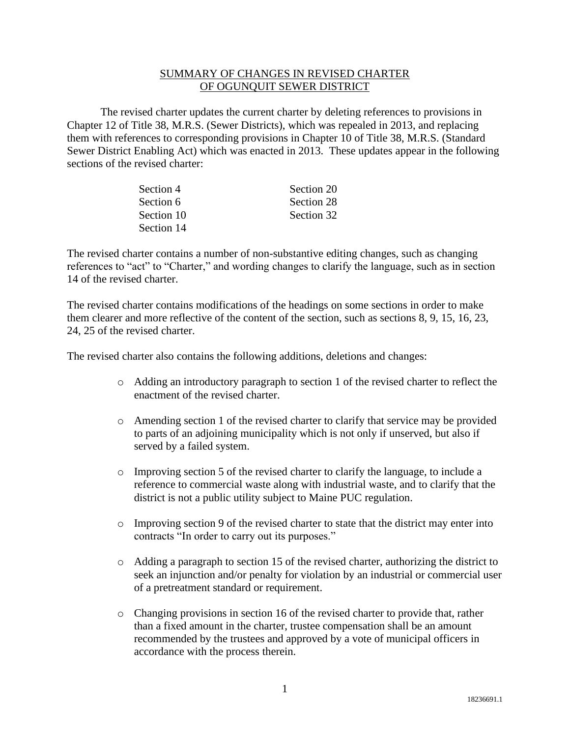## SUMMARY OF CHANGES IN REVISED CHARTER OF OGUNQUIT SEWER DISTRICT

The revised charter updates the current charter by deleting references to provisions in Chapter 12 of Title 38, M.R.S. (Sewer Districts), which was repealed in 2013, and replacing them with references to corresponding provisions in Chapter 10 of Title 38, M.R.S. (Standard Sewer District Enabling Act) which was enacted in 2013. These updates appear in the following sections of the revised charter:

| Section 4  | Section 20 |
|------------|------------|
| Section 6  | Section 28 |
| Section 10 | Section 32 |
| Section 14 |            |

The revised charter contains a number of non-substantive editing changes, such as changing references to "act" to "Charter," and wording changes to clarify the language, such as in section 14 of the revised charter.

The revised charter contains modifications of the headings on some sections in order to make them clearer and more reflective of the content of the section, such as sections 8, 9, 15, 16, 23, 24, 25 of the revised charter.

The revised charter also contains the following additions, deletions and changes:

- o Adding an introductory paragraph to section 1 of the revised charter to reflect the enactment of the revised charter.
- o Amending section 1 of the revised charter to clarify that service may be provided to parts of an adjoining municipality which is not only if unserved, but also if served by a failed system.
- o Improving section 5 of the revised charter to clarify the language, to include a reference to commercial waste along with industrial waste, and to clarify that the district is not a public utility subject to Maine PUC regulation.
- $\circ$  Improving section 9 of the revised charter to state that the district may enter into contracts "In order to carry out its purposes."
- o Adding a paragraph to section 15 of the revised charter, authorizing the district to seek an injunction and/or penalty for violation by an industrial or commercial user of a pretreatment standard or requirement.
- o Changing provisions in section 16 of the revised charter to provide that, rather than a fixed amount in the charter, trustee compensation shall be an amount recommended by the trustees and approved by a vote of municipal officers in accordance with the process therein.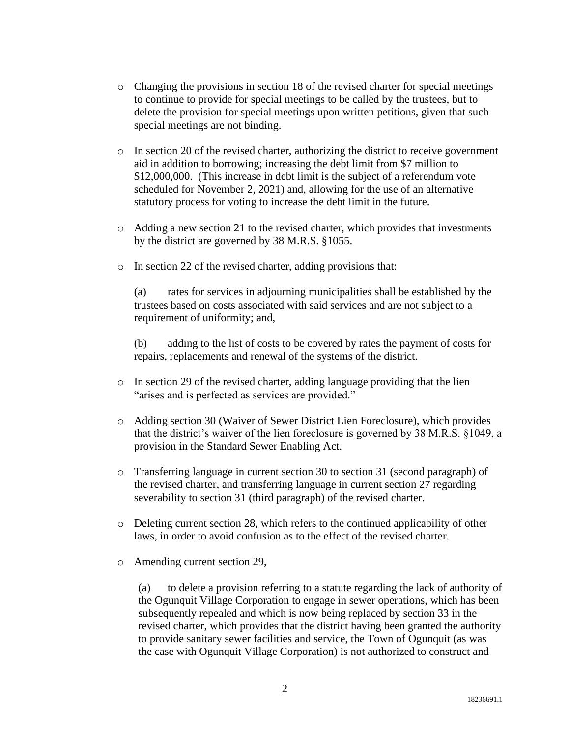- o Changing the provisions in section 18 of the revised charter for special meetings to continue to provide for special meetings to be called by the trustees, but to delete the provision for special meetings upon written petitions, given that such special meetings are not binding.
- o In section 20 of the revised charter, authorizing the district to receive government aid in addition to borrowing; increasing the debt limit from \$7 million to \$12,000,000. (This increase in debt limit is the subject of a referendum vote scheduled for November 2, 2021) and, allowing for the use of an alternative statutory process for voting to increase the debt limit in the future.
- o Adding a new section 21 to the revised charter, which provides that investments by the district are governed by 38 M.R.S. §1055.
- o In section 22 of the revised charter, adding provisions that:

(a) rates for services in adjourning municipalities shall be established by the trustees based on costs associated with said services and are not subject to a requirement of uniformity; and,

(b) adding to the list of costs to be covered by rates the payment of costs for repairs, replacements and renewal of the systems of the district.

- $\circ$  In section 29 of the revised charter, adding language providing that the lien "arises and is perfected as services are provided."
- o Adding section 30 (Waiver of Sewer District Lien Foreclosure), which provides that the district's waiver of the lien foreclosure is governed by 38 M.R.S. §1049, a provision in the Standard Sewer Enabling Act.
- $\circ$  Transferring language in current section 30 to section 31 (second paragraph) of the revised charter, and transferring language in current section 27 regarding severability to section 31 (third paragraph) of the revised charter.
- $\circ$  Deleting current section 28, which refers to the continued applicability of other laws, in order to avoid confusion as to the effect of the revised charter.
- o Amending current section 29,

(a) to delete a provision referring to a statute regarding the lack of authority of the Ogunquit Village Corporation to engage in sewer operations, which has been subsequently repealed and which is now being replaced by section 33 in the revised charter, which provides that the district having been granted the authority to provide sanitary sewer facilities and service, the Town of Ogunquit (as was the case with Ogunquit Village Corporation) is not authorized to construct and